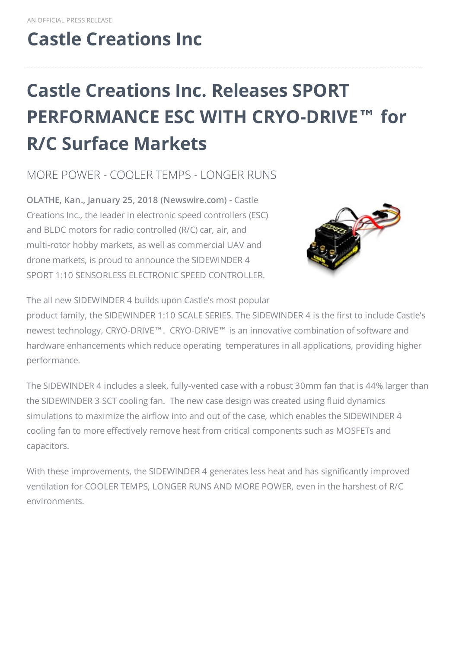## **Castle [Creations](http://www.castlecreations.com) Inc**

# **Castle Creations Inc. Releases SPORT PERFORMANCE ESC WITH CRYO-DRIVE™ for R/C Surface Markets**

MORE POWER - COOLER TEMPS - LONGER RUNS

**OLATHE, Kan., January 25, 2018 (Newswire.com) -** Castle Creations Inc., the leader in electronic speed controllers (ESC) and BLDC motors for radio controlled (R/C) car, air, and multi-rotor hobby markets, as well as commercial UAV and drone markets, is proud to announce the SIDEWINDER 4 SPORT 1:10 SENSORLESS ELECTRONIC SPEED CONTROLLER.



The all new SIDEWINDER 4 builds upon Castle's most popular

product family, the SIDEWINDER 1:10 SCALE SERIES. The SIDEWINDER 4 is the first to include Castle's newest technology, CRYO-DRIVE™. CRYO-DRIVE™ is an innovative combination of software and hardware enhancements which reduce operating temperatures in all applications, providing higher performance.

The SIDEWINDER 4 includes a sleek, fully-vented case with a robust 30mm fan that is 44% larger than the SIDEWINDER 3 SCT cooling fan. The new case design was created using fluid dynamics simulations to maximize the airflow into and out of the case, which enables the SIDEWINDER 4 cooling fan to more effectively remove heat from critical components such as MOSFETs and capacitors.

With these improvements, the SIDEWINDER 4 generates less heat and has significantly improved ventilation for COOLER TEMPS, LONGER RUNS AND MORE POWER, even in the harshest of R/C environments.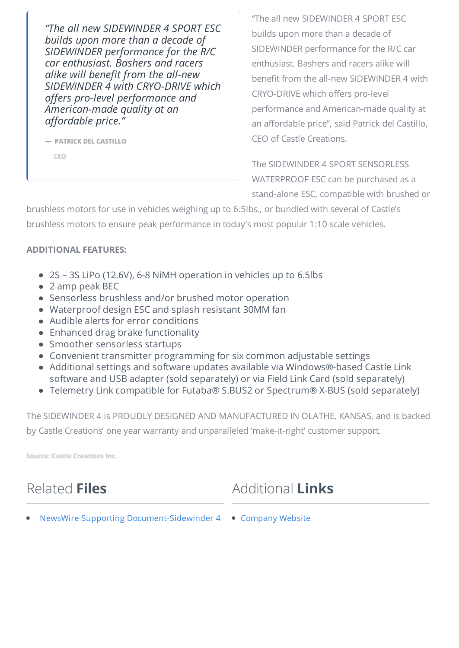*"The all new SIDEWINDER 4 SPORT ESC builds upon more than a decade of SIDEWINDER performance for the R/C car enthusiast. Bashers and racers alike will benefit from the all-new SIDEWINDER 4 with CRYO-DRIVE which offers pro-level performance and American-made quality at an affordable price."*

- PATRICK DEL CASTILLO

CEO

"The all new SIDEWINDER 4 SPORT ESC builds upon more than a decade of SIDEWINDER performance for the R/C car enthusiast. Bashers and racers alike will benefit from the all-new SIDEWINDER 4 with CRYO-DRIVE which offers pro-level performance and American-made quality at an affordable price", said Patrick del Castillo, CEO of Castle Creations.

The SIDEWINDER 4 SPORT SENSORLESS WATERPROOF ESC can be purchased as a stand-alone ESC, compatible with brushed or

brushless motors for use in vehicles weighing up to 6.5lbs., or bundled with several of Castle's brushless motors to ensure peak performance in today's most popular 1:10 scale vehicles.

#### **ADDITIONAL FEATURES:**

- 2S 3S LiPo (12.6V), 6-8 NiMH operation in vehicles up to 6.5lbs
- 2 amp peak BEC
- Sensorless brushless and/or brushed motor operation
- Waterproof design ESC and splash resistant 30MM fan
- Audible alerts for error conditions
- Enhanced drag brake functionality
- Smoother sensorless startups
- Convenient transmitter programming for six common adjustable settings
- Additional settings and software updates available via Windows®-based Castle Link software and USB adapter (sold separately) or via Field Link Card (sold separately)
- Telemetry Link compatible for Futaba® S.BUS2 or Spectrum® X-BUS (sold separately)

The SIDEWINDER 4 is PROUDLY DESIGNED AND MANUFACTURED IN OLATHE, KANSAS, and is backed by Castle Creations' one year warranty and unparalleled 'make-it-right' customer support.

Source: Castle Creations Inc.

### Related **Files**

Additional **Links**

NewsWire Supporting [Document-Sidewinder](https://www.newswire.com/files/x/62/f7/8bf59c55679b0f23d9a7d46d4018.pdf) 4 [Company](http://home.castlecreations.com/) Website